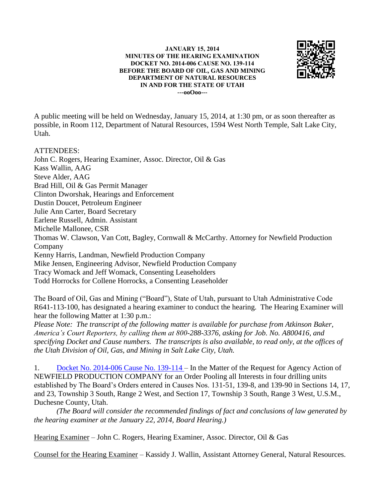## **JANUARY 15, 2014 MINUTES OF THE HEARING EXAMINATION DOCKET NO. 2014-006 CAUSE NO. 139-114 BEFORE THE BOARD OF OIL, GAS AND MINING DEPARTMENT OF NATURAL RESOURCES IN AND FOR THE STATE OF UTAH ---ooOoo---**



A public meeting will be held on Wednesday, January 15, 2014, at 1:30 pm, or as soon thereafter as possible, in Room 112, Department of Natural Resources, 1594 West North Temple, Salt Lake City, Utah.

## ATTENDEES:

John C. Rogers, Hearing Examiner, Assoc. Director, Oil & Gas Kass Wallin, AAG Steve Alder, AAG Brad Hill, Oil & Gas Permit Manager Clinton Dworshak, Hearings and Enforcement Dustin Doucet, Petroleum Engineer Julie Ann Carter, Board Secretary Earlene Russell, Admin. Assistant Michelle Mallonee, CSR Thomas W. Clawson, Van Cott, Bagley, Cornwall & McCarthy. Attorney for Newfield Production Company Kenny Harris, Landman, Newfield Production Company Mike Jensen, Engineering Advisor, Newfield Production Company Tracy Womack and Jeff Womack, Consenting Leaseholders Todd Horrocks for Collene Horrocks, a Consenting Leaseholder

The Board of Oil, Gas and Mining ("Board"), State of Utah, pursuant to Utah Administrative Code R641-113-100, has designated a hearing examiner to conduct the hearing. The Hearing Examiner will hear the following Matter at 1:30 p.m.:

*Please Note: The transcript of the following matter is available for purchase from Atkinson Baker, America's Court Reporters, by calling them at 800-288-3376, asking for Job. No. A800416, and specifying Docket and Cause numbers. The transcripts is also available, to read only, at the offices of the Utah Division of Oil, Gas, and Mining in Salt Lake City, Utah.*

1. [Docket No. 2014-006 Cause No. 139-114 –](http://ogm.utah.gov/amr/boardtemp/redesign/2014/01_Jan/Dockets/2014-006_139-114_Newfield.html) In the Matter of the Request for Agency Action of NEWFIELD PRODUCTION COMPANY for an Order Pooling all Interests in four drilling units established by The Board's Orders entered in Causes Nos. 131-51, 139-8, and 139-90 in Sections 14, 17, and 23, Township 3 South, Range 2 West, and Section 17, Township 3 South, Range 3 West, U.S.M., Duchesne County, Utah.

*(The Board will consider the recommended findings of fact and conclusions of law generated by the hearing examiner at the January 22, 2014, Board Hearing.)*

Hearing Examiner – John C. Rogers, Hearing Examiner, Assoc. Director, Oil & Gas

Counsel for the Hearing Examiner – Kassidy J. Wallin, Assistant Attorney General, Natural Resources.